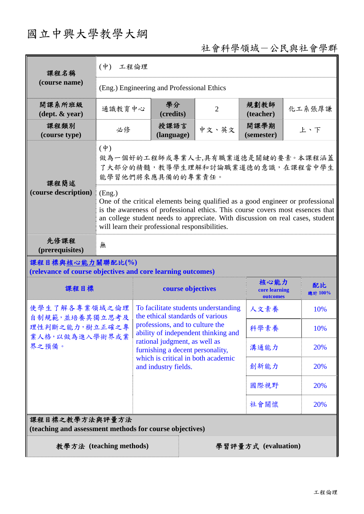# 國立中興大學教學大綱

## 社會科學領域-公民與社會學群

| 課程名稱<br>(course name)                                                           | $(\phi)$<br>工程倫理                                                                                                                                                                                                                                                                                                 |                                                                          |                |                                   |               |
|---------------------------------------------------------------------------------|------------------------------------------------------------------------------------------------------------------------------------------------------------------------------------------------------------------------------------------------------------------------------------------------------------------|--------------------------------------------------------------------------|----------------|-----------------------------------|---------------|
|                                                                                 | (Eng.) Engineering and Professional Ethics                                                                                                                                                                                                                                                                       |                                                                          |                |                                   |               |
| 開課系所班級<br>$(\text{dept.} \& \text{ year})$                                      | 通識教育中心                                                                                                                                                                                                                                                                                                           | 學分<br>(credits)                                                          | $\overline{2}$ | 規劃教師<br>(teacher)                 | 化工系張厚謙        |
| 課程類別<br>(course type)                                                           | 必修                                                                                                                                                                                                                                                                                                               | 授課語言<br>(language)                                                       | 中文、英文          | 開課學期<br>(semester)                | 上、下           |
| 課程簡述<br>(course description)                                                    | $(\dot{\Psi})$<br>做為一個好的工程師或專業人士,具有職業道德是關鍵的要素。本課程涵蓋<br>了大部分的精髓,教導學生理解和討論職業道德的意識,在課程當中學生<br>能學習他們將來應具備的的專業責任。                                                                                                                                                                                                     |                                                                          |                |                                   |               |
|                                                                                 | (Eng.)<br>One of the critical elements being qualified as a good engineer or professional<br>is the awareness of professional ethics. This course covers most essences that<br>an college student needs to appreciate. With discussion on real cases, student<br>will learn their professional responsibilities. |                                                                          |                |                                   |               |
| 先修課程<br>(prerequisites)                                                         | 無                                                                                                                                                                                                                                                                                                                |                                                                          |                |                                   |               |
| 課程目標與核心能力關聯配比(%)<br>(relevance of course objectives and core learning outcomes) |                                                                                                                                                                                                                                                                                                                  |                                                                          |                |                                   |               |
| 課程目標                                                                            |                                                                                                                                                                                                                                                                                                                  |                                                                          |                |                                   |               |
|                                                                                 |                                                                                                                                                                                                                                                                                                                  | course objectives                                                        |                | 核心能力<br>core learning<br>outcomes | 配比<br>總計 100% |
| 使學生了解各專業領域之倫理                                                                   |                                                                                                                                                                                                                                                                                                                  | To facilitate students understanding<br>the ethical standards of various |                | 人文素養                              | 10%           |
| 自制規範,並培養其獨立思考及<br>理性判斷之能力,樹立正確之專                                                |                                                                                                                                                                                                                                                                                                                  | professions, and to culture the<br>ability of independent thinking and   |                | 科學素養                              | 10%           |
| 業人格,以做為進入學術界或業<br>界之預備。                                                         |                                                                                                                                                                                                                                                                                                                  | rational judgment, as well as<br>furnishing a decent personality,        |                | 溝通能力                              | 20%           |
|                                                                                 |                                                                                                                                                                                                                                                                                                                  | which is critical in both academic<br>and industry fields.               |                | 創新能力                              | 20%           |
|                                                                                 |                                                                                                                                                                                                                                                                                                                  |                                                                          |                | 國際視野                              | 20%           |
|                                                                                 |                                                                                                                                                                                                                                                                                                                  |                                                                          |                | 社會關懷                              | 20%           |
| 課程目標之教學方法與評量方法<br>(teaching and assessment methods for course objectives)       |                                                                                                                                                                                                                                                                                                                  |                                                                          |                |                                   |               |